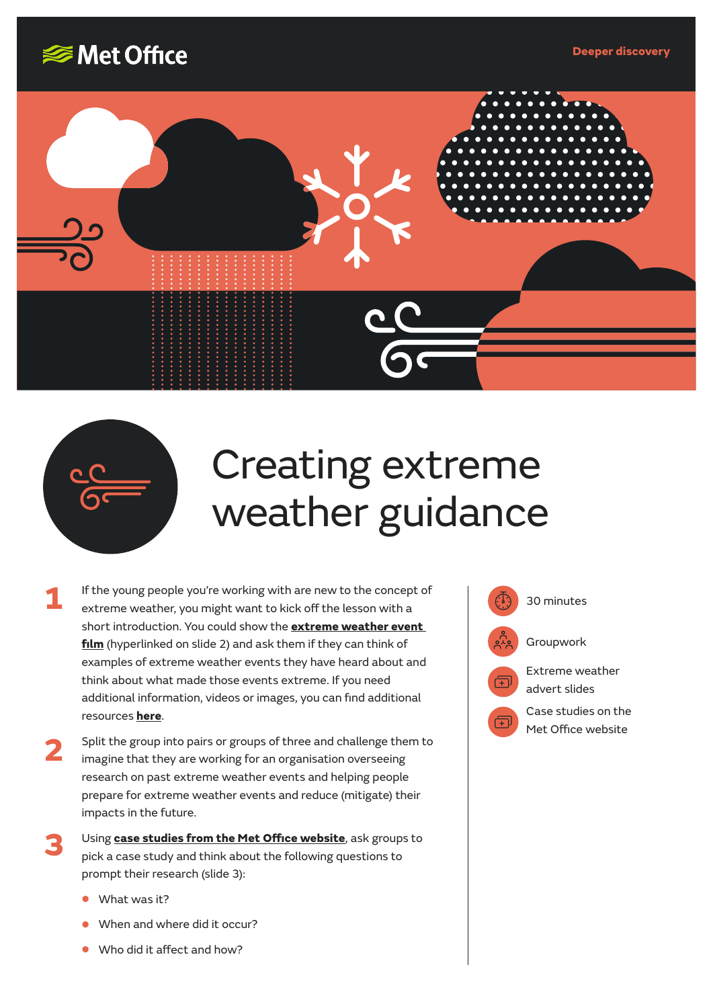





## Creating extreme weather guidance

- If the young people you're working with are new to the concept of  $\begin{pmatrix} 1 & 0 \\ 0 & 0 \end{pmatrix}$  30 minutes extreme weather, you might want to kick off the lesson with a short introduction. You could show the **[extreme weather event](https://www.youtube.com/watch?v=7XlxQFzlxN0&feature=youtu.be)  [film](https://www.youtube.com/watch?v=7XlxQFzlxN0&feature=youtu.be)** (hyperlinked on slide 2) and ask them if they can think of examples of extreme weather events they have heard about and think about what made those events extreme. If you need additional information, videos or images, you can find additional resources **[here](https://www.metoffice.gov.uk/weather/learn-about/met-office-for-schools/other-content/other-resources/extreme-weather)**. **1**
- Split the group into pairs or groups of three and challenge them to imagine that they are working for an organisation overseeing research on past extreme weather events and helping people prepare for extreme weather events and reduce (mitigate) their impacts in the future. **2**
- Using **[case studies from the Met Office website](https://www.metoffice.gov.uk/weather/learn-about/weather/case-studies/)**, ask groups to pick a case study and think about the following questions to prompt their research (slide 3): **3**
	- **•** What was it?
	- **•** When and where did it occur?
	- **•** Who did it affect and how?